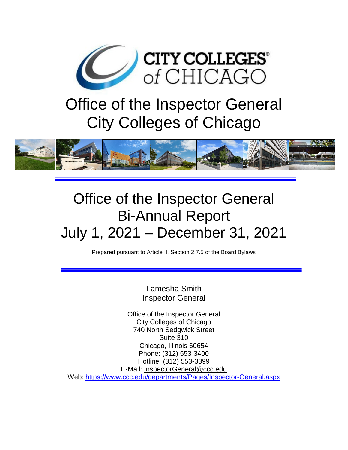

# Office of the Inspector General City Colleges of Chicago



# Office of the Inspector General Bi-Annual Report July 1, 2021 – December 31, 2021

Prepared pursuant to Article II, Section 2.7.5 of the Board Bylaws

Lamesha Smith Inspector General

Office of the Inspector General City Colleges of Chicago 740 North Sedgwick Street Suite 310 Chicago, Illinois 60654 Phone: (312) 553-3400 Hotline: (312) 553-3399 E-Mail: [InspectorGeneral@ccc.edu](mailto:InspectorGeneral@ccc.edu) Web:<https://www.ccc.edu/departments/Pages/Inspector-General.aspx>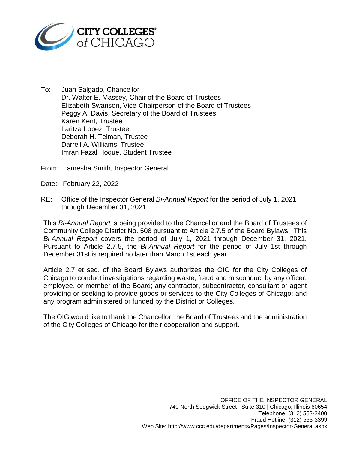

To: Juan Salgado, Chancellor Dr. Walter E. Massey, Chair of the Board of Trustees Elizabeth Swanson, Vice-Chairperson of the Board of Trustees Peggy A. Davis, Secretary of the Board of Trustees Karen Kent, Trustee Laritza Lopez, Trustee Deborah H. Telman, Trustee Darrell A. Williams, Trustee Imran Fazal Hoque, Student Trustee

From: Lamesha Smith, Inspector General

- Date: February 22, 2022
- RE: Office of the Inspector General *Bi-Annual Report* for the period of July 1, 2021 through December 31, 2021

This *Bi-Annual Report* is being provided to the Chancellor and the Board of Trustees of Community College District No. 508 pursuant to Article 2.7.5 of the Board Bylaws. This *Bi-Annual Report* covers the period of July 1, 2021 through December 31, 2021. Pursuant to Article 2.7.5, the *Bi-Annual Report* for the period of July 1st through December 31st is required no later than March 1st each year.

Article 2.7 et seq. of the Board Bylaws authorizes the OIG for the City Colleges of Chicago to conduct investigations regarding waste, fraud and misconduct by any officer, employee, or member of the Board; any contractor, subcontractor, consultant or agent providing or seeking to provide goods or services to the City Colleges of Chicago; and any program administered or funded by the District or Colleges.

The OIG would like to thank the Chancellor, the Board of Trustees and the administration of the City Colleges of Chicago for their cooperation and support.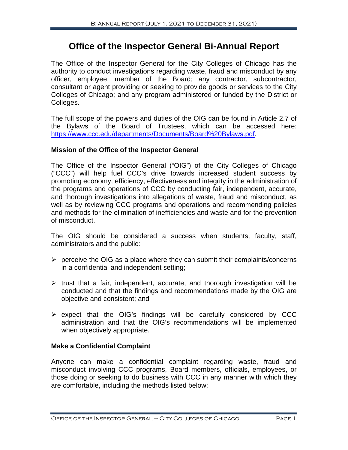# **Office of the Inspector General Bi-Annual Report**

The Office of the Inspector General for the City Colleges of Chicago has the authority to conduct investigations regarding waste, fraud and misconduct by any officer, employee, member of the Board; any contractor, subcontractor, consultant or agent providing or seeking to provide goods or services to the City Colleges of Chicago; and any program administered or funded by the District or Colleges.

The full scope of the powers and duties of the OIG can be found in Article 2.7 of the Bylaws of the Board of Trustees, which can be accessed here: [https://www.ccc.edu/departments/Documents/Board%20Bylaws.pdf.](https://www.ccc.edu/departments/Documents/Board%20Bylaws.pdf)

#### **Mission of the Office of the Inspector General**

The Office of the Inspector General ("OIG") of the City Colleges of Chicago ("CCC") will help fuel CCC's drive towards increased student success by promoting economy, efficiency, effectiveness and integrity in the administration of the programs and operations of CCC by conducting fair, independent, accurate, and thorough investigations into allegations of waste, fraud and misconduct, as well as by reviewing CCC programs and operations and recommending policies and methods for the elimination of inefficiencies and waste and for the prevention of misconduct.

The OIG should be considered a success when students, faculty, staff, administrators and the public:

- $\triangleright$  perceive the OIG as a place where they can submit their complaints/concerns in a confidential and independent setting;
- $\triangleright$  trust that a fair, independent, accurate, and thorough investigation will be conducted and that the findings and recommendations made by the OIG are objective and consistent; and
- $\triangleright$  expect that the OIG's findings will be carefully considered by CCC administration and that the OIG's recommendations will be implemented when objectively appropriate.

# **Make a Confidential Complaint**

Anyone can make a confidential complaint regarding waste, fraud and misconduct involving CCC programs, Board members, officials, employees, or those doing or seeking to do business with CCC in any manner with which they are comfortable, including the methods listed below: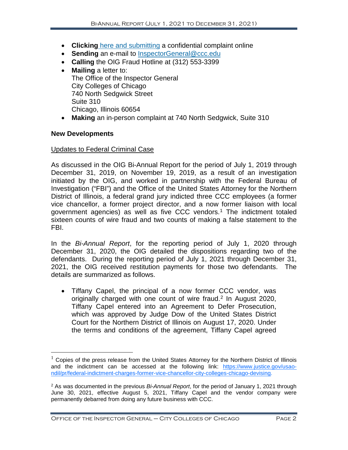- **Clicking** [here and submitting](https://apps.ccc.edu/EmailSupport/ConfidentialComplaintForm.aspx?_ga=2.210255318.215293094.1643237624-702935928.1614779860) a confidential complaint online
- **Sending** an e-mail to [InspectorGeneral@ccc.edu](mailto:InspectorGeneral@ccc.edu)
- **Calling** the OIG Fraud Hotline at (312) 553-3399
- **Mailing** a letter to: The Office of the Inspector General City Colleges of Chicago 740 North Sedgwick Street Suite 310 Chicago, Illinois 60654
- **Making** an in-person complaint at 740 North Sedgwick, Suite 310

#### **New Developments**

#### Updates to Federal Criminal Case

As discussed in the OIG Bi-Annual Report for the period of July 1, 2019 through December 31, 2019, on November 19, 2019, as a result of an investigation initiated by the OIG, and worked in partnership with the Federal Bureau of Investigation ("FBI") and the Office of the United States Attorney for the Northern District of Illinois, a federal grand jury indicted three CCC employees (a former vice chancellor, a former project director, and a now former liaison with local government agencies) as well as five CCC vendors. [1](#page-3-0) The indictment totaled sixteen counts of wire fraud and two counts of making a false statement to the FBI.

In the *Bi-Annual Report*, for the reporting period of July 1, 2020 through December 31, 2020, the OIG detailed the dispositions regarding two of the defendants. During the reporting period of July 1, 2021 through December 31, 2021, the OIG received restitution payments for those two defendants. The details are summarized as follows.

• Tiffany Capel, the principal of a now former CCC vendor, was originally charged with one count of wire fraud.[2](#page-3-1) In August 2020, Tiffany Capel entered into an Agreement to Defer Prosecution, which was approved by Judge Dow of the United States District Court for the Northern District of Illinois on August 17, 2020. Under the terms and conditions of the agreement, Tiffany Capel agreed

<span id="page-3-0"></span> $1$  Copies of the press release from the United States Attorney for the Northern District of Illinois and the indictment can be accessed at the following link: [https://www.justice.gov/usao](https://www.justice.gov/usao-ndil/pr/federal-indictment-charges-former-vice-chancellor-city-colleges-chicago-devising)[ndil/pr/federal-indictment-charges-former-vice-chancellor-city-colleges-chicago-devising.](https://www.justice.gov/usao-ndil/pr/federal-indictment-charges-former-vice-chancellor-city-colleges-chicago-devising)

<span id="page-3-1"></span><sup>2</sup> As was documented in the previous *Bi-Annual Report*, for the period of January 1, 2021 through June 30, 2021, effective August 5, 2021, Tiffany Capel and the vendor company were permanently debarred from doing any future business with CCC.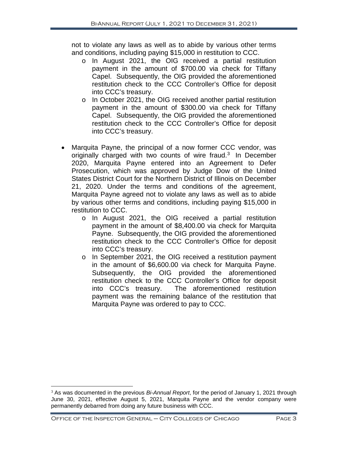not to violate any laws as well as to abide by various other terms and conditions, including paying \$15,000 in restitution to CCC.

- o In August 2021, the OIG received a partial restitution payment in the amount of \$700.00 via check for Tiffany Capel. Subsequently, the OIG provided the aforementioned restitution check to the CCC Controller's Office for deposit into CCC's treasury.
- o In October 2021, the OIG received another partial restitution payment in the amount of \$300.00 via check for Tiffany Capel. Subsequently, the OIG provided the aforementioned restitution check to the CCC Controller's Office for deposit into CCC's treasury.
- Marquita Payne, the principal of a now former CCC vendor, was originally charged with two counts of wire fraud.<sup>[3](#page-4-0)</sup> In December 2020, Marquita Payne entered into an Agreement to Defer Prosecution, which was approved by Judge Dow of the United States District Court for the Northern District of Illinois on December 21, 2020. Under the terms and conditions of the agreement, Marquita Payne agreed not to violate any laws as well as to abide by various other terms and conditions, including paying \$15,000 in restitution to CCC.
	- o In August 2021, the OIG received a partial restitution payment in the amount of \$8,400.00 via check for Marquita Payne. Subsequently, the OIG provided the aforementioned restitution check to the CCC Controller's Office for deposit into CCC's treasury.
	- o In September 2021, the OIG received a restitution payment in the amount of \$6,600.00 via check for Marquita Payne. Subsequently, the OIG provided the aforementioned restitution check to the CCC Controller's Office for deposit into CCC's treasury. The aforementioned restitution payment was the remaining balance of the restitution that Marquita Payne was ordered to pay to CCC.

<span id="page-4-0"></span> <sup>3</sup> As was documented in the previous *Bi-Annual Report*, for the period of January 1, 2021 through June 30, 2021, effective August 5, 2021, Marquita Payne and the vendor company were permanently debarred from doing any future business with CCC.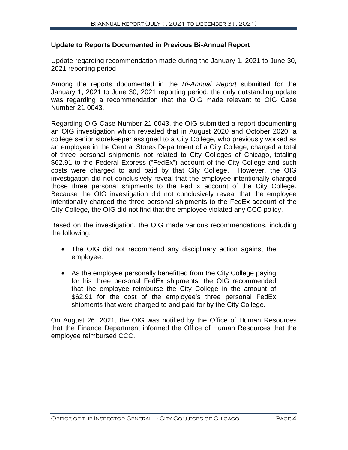#### **Update to Reports Documented in Previous Bi-Annual Report**

#### Update regarding recommendation made during the January 1, 2021 to June 30, 2021 reporting period

Among the reports documented in the *Bi-Annual Report* submitted for the January 1, 2021 to June 30, 2021 reporting period, the only outstanding update was regarding a recommendation that the OIG made relevant to OIG Case Number 21-0043.

Regarding OIG Case Number 21-0043, the OIG submitted a report documenting an OIG investigation which revealed that in August 2020 and October 2020, a college senior storekeeper assigned to a City College, who previously worked as an employee in the Central Stores Department of a City College, charged a total of three personal shipments not related to City Colleges of Chicago, totaling \$62.91 to the Federal Express ("FedEx") account of the City College and such costs were charged to and paid by that City College. However, the OIG investigation did not conclusively reveal that the employee intentionally charged those three personal shipments to the FedEx account of the City College. Because the OIG investigation did not conclusively reveal that the employee intentionally charged the three personal shipments to the FedEx account of the City College, the OIG did not find that the employee violated any CCC policy.

Based on the investigation, the OIG made various recommendations, including the following:

- The OIG did not recommend any disciplinary action against the employee.
- As the employee personally benefitted from the City College paying for his three personal FedEx shipments, the OIG recommended that the employee reimburse the City College in the amount of \$62.91 for the cost of the employee's three personal FedEx shipments that were charged to and paid for by the City College.

On August 26, 2021, the OIG was notified by the Office of Human Resources that the Finance Department informed the Office of Human Resources that the employee reimbursed CCC.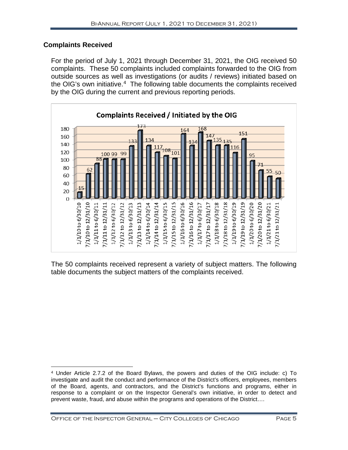### **Complaints Received**

For the period of July 1, 2021 through December 31, 2021, the OIG received 50 complaints. These 50 complaints included complaints forwarded to the OIG from outside sources as well as investigations (or audits / reviews) initiated based on the OIG's own initiative. [4](#page-6-0) The following table documents the complaints received by the OIG during the current and previous reporting periods.



The 50 complaints received represent a variety of subject matters. The following table documents the subject matters of the complaints received.

<span id="page-6-0"></span> $\overline{a}$ <sup>4</sup> Under Article 2.7.2 of the Board Bylaws, the powers and duties of the OIG include: c) To investigate and audit the conduct and performance of the District's officers, employees, members of the Board, agents, and contractors, and the District's functions and programs, either in response to a complaint or on the Inspector General's own initiative, in order to detect and prevent waste, fraud, and abuse within the programs and operations of the District….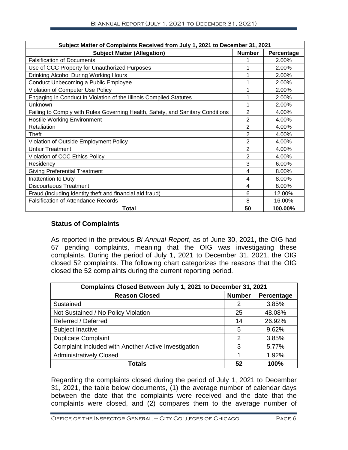| Subject Matter of Complaints Received from July 1, 2021 to December 31, 2021   |                |            |  |  |  |
|--------------------------------------------------------------------------------|----------------|------------|--|--|--|
| <b>Subject Matter (Allegation)</b>                                             | <b>Number</b>  | Percentage |  |  |  |
| <b>Falsification of Documents</b>                                              |                | 2.00%      |  |  |  |
| Use of CCC Property for Unauthorized Purposes                                  |                | 2.00%      |  |  |  |
| Drinking Alcohol During Working Hours                                          |                | 2.00%      |  |  |  |
| Conduct Unbecoming a Public Employee                                           |                | 2.00%      |  |  |  |
| Violation of Computer Use Policy                                               |                | 2.00%      |  |  |  |
| Engaging in Conduct in Violation of the Illinois Compiled Statutes             | 1              | 2.00%      |  |  |  |
| Unknown                                                                        | 1              | 2.00%      |  |  |  |
| Failing to Comply with Rules Governing Health, Safety, and Sanitary Conditions | 2              | 4.00%      |  |  |  |
| <b>Hostile Working Environment</b>                                             | $\overline{2}$ | 4.00%      |  |  |  |
| Retaliation                                                                    | 2              | 4.00%      |  |  |  |
| Theft                                                                          | 2              | 4.00%      |  |  |  |
| Violation of Outside Employment Policy                                         | $\overline{2}$ | 4.00%      |  |  |  |
| <b>Unfair Treatment</b>                                                        | 2              | 4.00%      |  |  |  |
| Violation of CCC Ethics Policy                                                 | 2              | 4.00%      |  |  |  |
| Residency                                                                      | 3              | 6.00%      |  |  |  |
| <b>Giving Preferential Treatment</b>                                           | 4              | 8.00%      |  |  |  |
| Inattention to Duty                                                            | 4              | 8.00%      |  |  |  |
| Discourteous Treatment                                                         | 4              | 8.00%      |  |  |  |
| Fraud (including identity theft and financial aid fraud)                       | 6              | 12.00%     |  |  |  |
| <b>Falsification of Attendance Records</b>                                     | 8              | 16.00%     |  |  |  |
| Total                                                                          | 50             | 100.00%    |  |  |  |

#### **Status of Complaints**

As reported in the previous *Bi-Annual Report*, as of June 30, 2021, the OIG had 67 pending complaints, meaning that the OIG was investigating these complaints. During the period of July 1, 2021 to December 31, 2021, the OIG closed 52 complaints. The following chart categorizes the reasons that the OIG closed the 52 complaints during the current reporting period.

| Complaints Closed Between July 1, 2021 to December 31, 2021 |               |            |  |  |
|-------------------------------------------------------------|---------------|------------|--|--|
| <b>Reason Closed</b>                                        | <b>Number</b> | Percentage |  |  |
| Sustained                                                   | 2             | 3.85%      |  |  |
| Not Sustained / No Policy Violation                         | 25            | 48.08%     |  |  |
| Referred / Deferred                                         | 14            | 26.92%     |  |  |
| Subject Inactive                                            | 5             | 9.62%      |  |  |
| <b>Duplicate Complaint</b>                                  | 2             | 3.85%      |  |  |
| Complaint Included with Another Active Investigation        | 3             | 5.77%      |  |  |
| <b>Administratively Closed</b>                              |               | 1.92%      |  |  |
| Totals                                                      | 52            | 100%       |  |  |

Regarding the complaints closed during the period of July 1, 2021 to December 31, 2021, the table below documents, (1) the average number of calendar days between the date that the complaints were received and the date that the complaints were closed, and (2) compares them to the average number of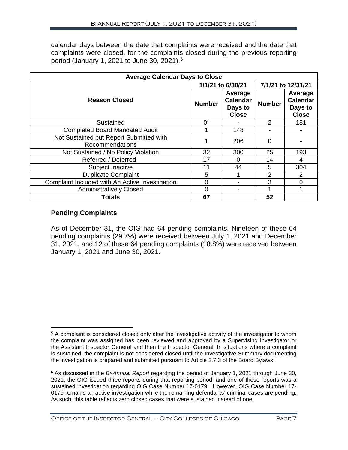calendar days between the date that complaints were received and the date that complaints were closed, for the complaints closed during the previous reporting period (January 1, 2021 to June 30, 2021). [5](#page-8-0)

| <b>Average Calendar Days to Close</b>                      |                |                                                       |                    |                                                       |  |  |
|------------------------------------------------------------|----------------|-------------------------------------------------------|--------------------|-------------------------------------------------------|--|--|
| 1/1/21 to 6/30/21                                          |                |                                                       | 7/1/21 to 12/31/21 |                                                       |  |  |
| <b>Reason Closed</b>                                       | <b>Number</b>  | Average<br><b>Calendar</b><br>Days to<br><b>Close</b> | <b>Number</b>      | Average<br><b>Calendar</b><br>Days to<br><b>Close</b> |  |  |
| Sustained                                                  | 0 <sup>6</sup> |                                                       | $\mathcal{P}$      | 181                                                   |  |  |
| <b>Completed Board Mandated Audit</b>                      |                | 148                                                   |                    |                                                       |  |  |
| Not Sustained but Report Submitted with<br>Recommendations |                | 206                                                   | 0                  |                                                       |  |  |
| Not Sustained / No Policy Violation                        | 32             | 300                                                   | 25                 | 193                                                   |  |  |
| Referred / Deferred                                        | 17             | 0                                                     | 14                 | 4                                                     |  |  |
| Subject Inactive                                           | 11             | 44                                                    | 5                  | 304                                                   |  |  |
| <b>Duplicate Complaint</b>                                 | 5              |                                                       | $\overline{2}$     | $\overline{2}$                                        |  |  |
| Complaint Included with An Active Investigation            | 0              |                                                       | 3                  | 0                                                     |  |  |
| <b>Administratively Closed</b>                             | 0              |                                                       |                    |                                                       |  |  |
| <b>Totals</b>                                              | 67             |                                                       | 52                 |                                                       |  |  |

# **Pending Complaints**

As of December 31, the OIG had 64 pending complaints. Nineteen of these 64 pending complaints (29.7%) were received between July 1, 2021 and December 31, 2021, and 12 of these 64 pending complaints (18.8%) were received between January 1, 2021 and June 30, 2021.

<span id="page-8-0"></span> $\overline{a}$ <sup>5</sup> A complaint is considered closed only after the investigative activity of the investigator to whom the complaint was assigned has been reviewed and approved by a Supervising Investigator or the Assistant Inspector General and then the Inspector General. In situations where a complaint is sustained, the complaint is not considered closed until the Investigative Summary documenting the investigation is prepared and submitted pursuant to Article 2.7.3 of the Board Bylaws.

<span id="page-8-1"></span><sup>6</sup> As discussed in the *Bi-Annual Report* regarding the period of January 1, 2021 through June 30, 2021, the OIG issued three reports during that reporting period, and one of those reports was a sustained investigation regarding OIG Case Number 17-0179. However, OIG Case Number 17- 0179 remains an active investigation while the remaining defendants' criminal cases are pending. As such, this table reflects zero closed cases that were sustained instead of one.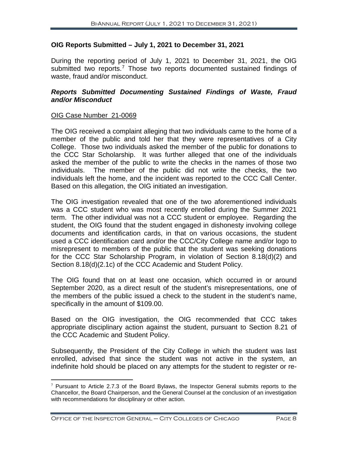#### **OIG Reports Submitted – July 1, 2021 to December 31, 2021**

During the reporting period of July 1, 2021 to December 31, 2021, the OIG submitted two reports.<sup>[7](#page-9-0)</sup> Those two reports documented sustained findings of waste, fraud and/or misconduct.

#### *Reports Submitted Documenting Sustained Findings of Waste, Fraud and/or Misconduct*

#### OIG Case Number\_21-0069

The OIG received a complaint alleging that two individuals came to the home of a member of the public and told her that they were representatives of a City College. Those two individuals asked the member of the public for donations to the CCC Star Scholarship. It was further alleged that one of the individuals asked the member of the public to write the checks in the names of those two individuals. The member of the public did not write the checks, the two individuals left the home, and the incident was reported to the CCC Call Center. Based on this allegation, the OIG initiated an investigation.

The OIG investigation revealed that one of the two aforementioned individuals was a CCC student who was most recently enrolled during the Summer 2021 term. The other individual was not a CCC student or employee. Regarding the student, the OIG found that the student engaged in dishonesty involving college documents and identification cards, in that on various occasions, the student used a CCC identification card and/or the CCC/City College name and/or logo to misrepresent to members of the public that the student was seeking donations for the CCC Star Scholarship Program, in violation of Section 8.18(d)(2) and Section 8.18(d)(2.1c) of the CCC Academic and Student Policy.

The OIG found that on at least one occasion, which occurred in or around September 2020, as a direct result of the student's misrepresentations, one of the members of the public issued a check to the student in the student's name, specifically in the amount of \$109.00.

Based on the OIG investigation, the OIG recommended that CCC takes appropriate disciplinary action against the student, pursuant to Section 8.21 of the CCC Academic and Student Policy.

Subsequently, the President of the City College in which the student was last enrolled, advised that since the student was not active in the system, an indefinite hold should be placed on any attempts for the student to register or re-

<span id="page-9-0"></span> $7$  Pursuant to Article 2.7.3 of the Board Bylaws, the Inspector General submits reports to the Chancellor, the Board Chairperson, and the General Counsel at the conclusion of an investigation with recommendations for disciplinary or other action.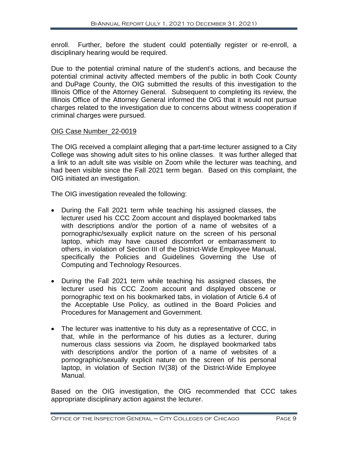enroll. Further, before the student could potentially register or re-enroll, a disciplinary hearing would be required.

Due to the potential criminal nature of the student's actions, and because the potential criminal activity affected members of the public in both Cook County and DuPage County, the OIG submitted the results of this investigation to the Illinois Office of the Attorney General. Subsequent to completing its review, the Illinois Office of the Attorney General informed the OIG that it would not pursue charges related to the investigation due to concerns about witness cooperation if criminal charges were pursued.

# OIG Case Number\_22-0019

The OIG received a complaint alleging that a part-time lecturer assigned to a City College was showing adult sites to his online classes. It was further alleged that a link to an adult site was visible on Zoom while the lecturer was teaching, and had been visible since the Fall 2021 term began. Based on this complaint, the OIG initiated an investigation.

The OIG investigation revealed the following:

- During the Fall 2021 term while teaching his assigned classes, the lecturer used his CCC Zoom account and displayed bookmarked tabs with descriptions and/or the portion of a name of websites of a pornographic/sexually explicit nature on the screen of his personal laptop, which may have caused discomfort or embarrassment to others, in violation of Section III of the District-Wide Employee Manual, specifically the Policies and Guidelines Governing the Use of Computing and Technology Resources.
- During the Fall 2021 term while teaching his assigned classes, the lecturer used his CCC Zoom account and displayed obscene or pornographic text on his bookmarked tabs, in violation of Article 6.4 of the Acceptable Use Policy, as outlined in the Board Policies and Procedures for Management and Government.
- The lecturer was inattentive to his duty as a representative of CCC, in that, while in the performance of his duties as a lecturer, during numerous class sessions via Zoom, he displayed bookmarked tabs with descriptions and/or the portion of a name of websites of a pornographic/sexually explicit nature on the screen of his personal laptop, in violation of Section IV(38) of the District-Wide Employee Manual.

Based on the OIG investigation, the OIG recommended that CCC takes appropriate disciplinary action against the lecturer.